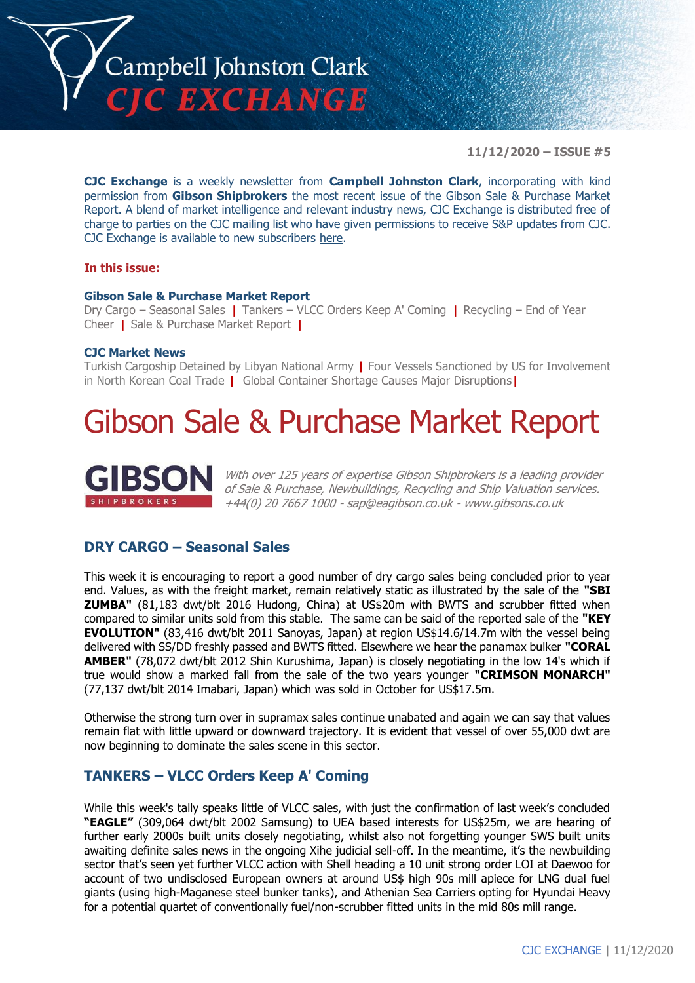

**11/12/2020 – ISSUE #5**

**CJC Exchange** is a weekly newsletter from **Campbell Johnston Clark**, incorporating with kind permission from **Gibson Shipbrokers** the most recent issue of the Gibson Sale & Purchase Market Report. A blend of market intelligence and relevant industry news, CJC Exchange is distributed free of charge to parties on the CJC mailing list who have given permissions to receive S&P updates from CJC. CJC Exchange is available to new subscribers [here.](mailto:jamesc@cjclaw.com?subject=CJC%20Exchange%20sign-up)

### **In this issue:**

### **Gibson Sale & Purchase Market Report**

Dry Cargo – Seasonal Sales **|** Tankers – VLCC Orders Keep A' Coming **|** Recycling – End of Year Cheer **|** Sale & Purchase Market Report **|**

### **CJC Market News**

Turkish Cargoship Detained by Libyan National Army **|** Four Vessels Sanctioned by US for Involvement in North Korean Coal Trade **|** Global Container Shortage Causes Major Disruptions**|**

## Gibson Sale & Purchase Market Report



With over 125 years of expertise Gibson Shipbrokers is a leading provider of Sale & Purchase, Newbuildings, Recycling and Ship Valuation services. +44(0) 20 7667 1000 - [sap@eagibson.co.uk](mailto:sap@eagibson.co.uk) - [www.gibsons.co.uk](https://protect-eu.mimecast.com/s/VO6nCGZzRS60KqcK1jQh/)

### **DRY CARGO – Seasonal Sales**

This week it is encouraging to report a good number of dry cargo sales being concluded prior to year end. Values, as with the freight market, remain relatively static as illustrated by the sale of the **"SBI ZUMBA"** (81,183 dwt/blt 2016 Hudong, China) at US\$20m with BWTS and scrubber fitted when compared to similar units sold from this stable. The same can be said of the reported sale of the **"KEY EVOLUTION"** (83,416 dwt/blt 2011 Sanoyas, Japan) at region US\$14.6/14.7m with the vessel being delivered with SS/DD freshly passed and BWTS fitted. Elsewhere we hear the panamax bulker **"CORAL AMBER"** (78,072 dwt/blt 2012 Shin Kurushima, Japan) is closely negotiating in the low 14's which if true would show a marked fall from the sale of the two years younger **"CRIMSON MONARCH"** (77,137 dwt/blt 2014 Imabari, Japan) which was sold in October for US\$17.5m.

Otherwise the strong turn over in supramax sales continue unabated and again we can say that values remain flat with little upward or downward trajectory. It is evident that vessel of over 55,000 dwt are now beginning to dominate the sales scene in this sector.

### **TANKERS – VLCC Orders Keep A' Coming**

While this week's tally speaks little of VLCC sales, with just the confirmation of last week's concluded **"EAGLE"** (309,064 dwt/blt 2002 Samsung) to UEA based interests for US\$25m, we are hearing of further early 2000s built units closely negotiating, whilst also not forgetting younger SWS built units awaiting definite sales news in the ongoing Xihe judicial sell-off. In the meantime, it's the newbuilding sector that's seen yet further VLCC action with Shell heading a 10 unit strong order LOI at Daewoo for account of two undisclosed European owners at around US\$ high 90s mill apiece for LNG dual fuel giants (using high-Maganese steel bunker tanks), and Athenian Sea Carriers opting for Hyundai Heavy for a potential quartet of conventionally fuel/non-scrubber fitted units in the mid 80s mill range.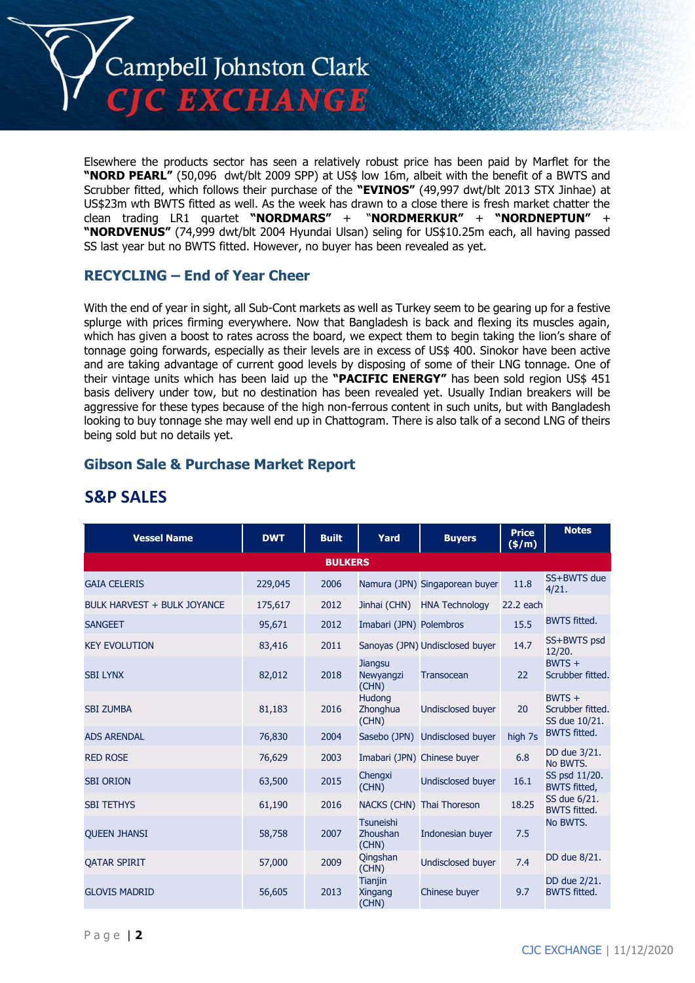

Elsewhere the products sector has seen a relatively robust price has been paid by Marflet for the **"NORD PEARL"** (50,096 dwt/blt 2009 SPP) at US\$ low 16m, albeit with the benefit of a BWTS and Scrubber fitted, which follows their purchase of the **"EVINOS"** (49,997 dwt/blt 2013 STX Jinhae) at US\$23m wth BWTS fitted as well. As the week has drawn to a close there is fresh market chatter the clean trading LR1 quartet **"NORDMARS"** + "**NORDMERKUR"** + **"NORDNEPTUN"** + **"NORDVENUS"** (74,999 dwt/blt 2004 Hyundai Ulsan) seling for US\$10.25m each, all having passed SS last year but no BWTS fitted. However, no buyer has been revealed as yet.

### **RECYCLING – End of Year Cheer**

With the end of year in sight, all Sub-Cont markets as well as Turkey seem to be gearing up for a festive splurge with prices firming everywhere. Now that Bangladesh is back and flexing its muscles again, which has given a boost to rates across the board, we expect them to begin taking the lion's share of tonnage going forwards, especially as their levels are in excess of US\$ 400. Sinokor have been active and are taking advantage of current good levels by disposing of some of their LNG tonnage. One of their vintage units which has been laid up the **"PACIFIC ENERGY"** has been sold region US\$ 451 basis delivery under tow, but no destination has been revealed yet. Usually Indian breakers will be aggressive for these types because of the high non-ferrous content in such units, but with Bangladesh looking to buy tonnage she may well end up in Chattogram. There is also talk of a second LNG of theirs being sold but no details yet.

### **Gibson Sale & Purchase Market Report**

| <b>Vessel Name</b>                 | <b>DWT</b> | <b>Built</b>   | Yard                                      | <b>Buyers</b>                   | <b>Price</b><br>(\$/m) | <b>Notes</b>                                  |
|------------------------------------|------------|----------------|-------------------------------------------|---------------------------------|------------------------|-----------------------------------------------|
|                                    |            | <b>BULKERS</b> |                                           |                                 |                        |                                               |
| <b>GAIA CELERIS</b>                | 229,045    | 2006           |                                           | Namura (JPN) Singaporean buyer  | 11.8                   | SS+BWTS due<br>4/21.                          |
| <b>BULK HARVEST + BULK JOYANCE</b> | 175,617    | 2012           | Jinhai (CHN)                              | <b>HNA Technology</b>           | 22.2 each              |                                               |
| <b>SANGEET</b>                     | 95,671     | 2012           | Imabari (JPN) Polembros                   |                                 | 15.5                   | <b>BWTS fitted.</b>                           |
| <b>KEY EVOLUTION</b>               | 83,416     | 2011           |                                           | Sanoyas (JPN) Undisclosed buyer | 14.7                   | SS+BWTS psd<br>12/20.                         |
| <b>SBI LYNX</b>                    | 82,012     | 2018           | <b>Jiangsu</b><br>Newyangzi<br>(CHN)      | <b>Transocean</b>               | 22                     | $BWTS +$<br>Scrubber fitted.                  |
| <b>SBI ZUMBA</b>                   | 81,183     | 2016           | <b>Hudong</b><br>Zhonghua<br>(CHN)        | <b>Undisclosed buyer</b>        | 20                     | $BWTS +$<br>Scrubber fitted.<br>SS due 10/21. |
| <b>ADS ARENDAL</b>                 | 76,830     | 2004           | Sasebo (JPN)                              | <b>Undisclosed buyer</b>        | high 7s                | <b>BWTS fitted.</b>                           |
| <b>RED ROSE</b>                    | 76,629     | 2003           |                                           | Imabari (JPN) Chinese buyer     | 6.8                    | DD due 3/21.<br>No BWTS.                      |
| <b>SBI ORION</b>                   | 63,500     | 2015           | Chengxi<br>(CHN)                          | <b>Undisclosed buyer</b>        | 16.1                   | SS psd 11/20.<br><b>BWTS fitted,</b>          |
| <b>SBI TETHYS</b>                  | 61,190     | 2016           | <b>NACKS (CHN)</b>                        | Thai Thoreson                   | 18.25                  | SS due 6/21.<br><b>BWTS fitted.</b>           |
| <b>OUEEN JHANSI</b>                | 58,758     | 2007           | <b>Tsuneishi</b><br>Zhoushan<br>(CHN)     | Indonesian buyer                | 7.5                    | No BWTS.                                      |
| <b>OATAR SPIRIT</b>                | 57,000     | 2009           | Qingshan<br>(CHN)                         | Undisclosed buyer               | 7.4                    | DD due 8/21.                                  |
| <b>GLOVIS MADRID</b>               | 56,605     | 2013           | <b>Tianjin</b><br><b>Xingang</b><br>(CHN) | Chinese buyer                   | 9.7                    | DD due 2/21.<br><b>BWTS fitted.</b>           |

## **S&P SALES**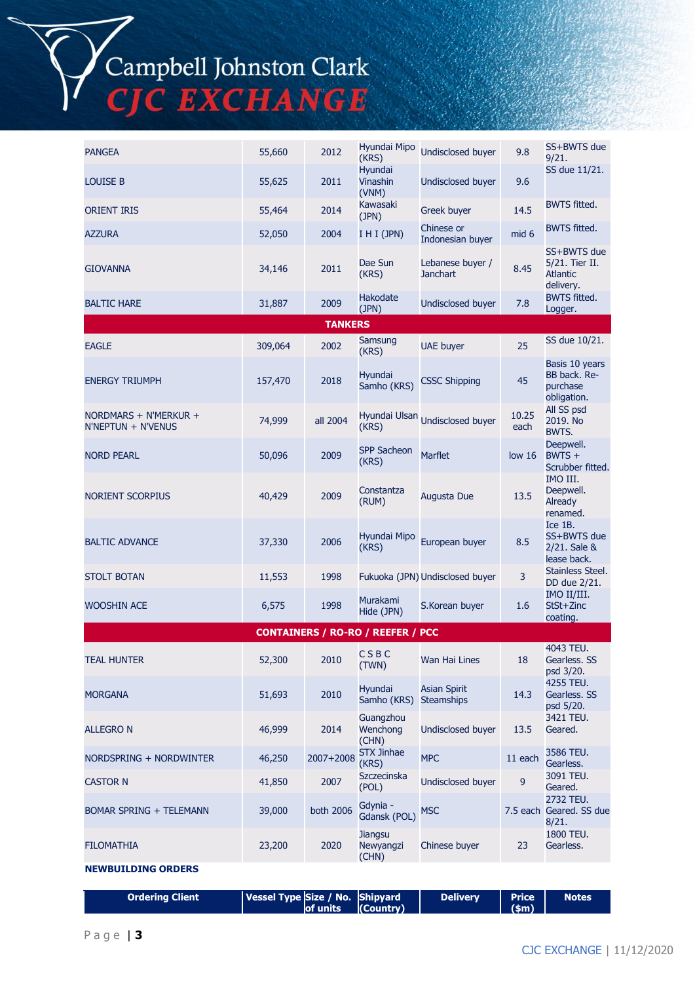# Campbell Johnston Clark<br>CJC EXCHANGE

| <b>PANGEA</b>                               | 55,660  | 2012           | Hyundai Mipo<br>(KRS)                    | <b>Undisclosed buyer</b>                 | 9.8               | SS+BWTS due<br>9/21.                                          |
|---------------------------------------------|---------|----------------|------------------------------------------|------------------------------------------|-------------------|---------------------------------------------------------------|
| <b>LOUISE B</b>                             | 55,625  | 2011           | Hyundai<br>Vinashin<br>(VNM)             | <b>Undisclosed buyer</b>                 | 9.6               | SS due 11/21.                                                 |
| <b>ORIENT IRIS</b>                          | 55,464  | 2014           | Kawasaki<br>(JPN)                        | <b>Greek buyer</b>                       | 14.5              | <b>BWTS fitted.</b>                                           |
| <b>AZZURA</b>                               | 52,050  | 2004           | I H I (JPN)                              | Chinese or<br>Indonesian buyer           | mid 6             | <b>BWTS fitted.</b>                                           |
| <b>GIOVANNA</b>                             | 34,146  | 2011           | Dae Sun<br>(KRS)                         | Lebanese buyer /<br><b>Janchart</b>      | 8.45              | SS+BWTS due<br>5/21. Tier II.<br><b>Atlantic</b><br>delivery. |
| <b>BALTIC HARE</b>                          | 31,887  | 2009           | Hakodate<br>(JPN)                        | <b>Undisclosed buyer</b>                 | 7.8               | <b>BWTS fitted.</b><br>Logger.                                |
|                                             |         | <b>TANKERS</b> |                                          |                                          |                   |                                                               |
| <b>EAGLE</b>                                | 309,064 | 2002           | Samsung<br>(KRS)                         | <b>UAE</b> buyer                         | 25                | SS due 10/21.                                                 |
| <b>ENERGY TRIUMPH</b>                       | 157,470 | 2018           | Hyundai<br>Samho (KRS)                   | <b>CSSC Shipping</b>                     | 45                | Basis 10 years<br>BB back. Re-<br>purchase<br>obligation.     |
| NORDMARS + N'MERKUR +<br>N'NEPTUN + N'VENUS | 74,999  | all 2004       | (KRS)                                    | Hyundai Ulsan Undisclosed buyer          | 10.25<br>each     | All SS psd<br>2019. No<br>BWTS.                               |
| <b>NORD PEARL</b>                           | 50,096  | 2009           | <b>SPP Sacheon</b><br>(KRS)              | <b>Marflet</b>                           | low <sub>16</sub> | Deepwell.<br>$BWTS +$<br>Scrubber fitted.                     |
| <b>NORIENT SCORPIUS</b>                     | 40,429  | 2009           | Constantza<br>(RUM)                      | Augusta Due                              | 13.5              | IMO III.<br>Deepwell.<br>Already<br>renamed.                  |
| <b>BALTIC ADVANCE</b>                       | 37,330  | 2006           | Hyundai Mipo<br>(KRS)                    | European buyer                           | 8.5               | Ice 1B.<br>SS+BWTS due<br>2/21. Sale &<br>lease back.         |
| <b>STOLT BOTAN</b>                          | 11,553  | 1998           |                                          | Fukuoka (JPN) Undisclosed buyer          | 3                 | Stainless Steel.<br>DD due 2/21.                              |
| <b>WOOSHIN ACE</b>                          | 6,575   | 1998           | Murakami<br>Hide (JPN)                   | S.Korean buyer                           | 1.6               | IMO II/III.<br>StSt+Zinc<br>coating.                          |
|                                             |         |                | <b>CONTAINERS / RO-RO / REEFER / PCC</b> |                                          |                   |                                                               |
| <b>TEAL HUNTER</b>                          | 52,300  | 2010           | CSBC<br>(TWN)                            | Wan Hai Lines                            | 18                | 4043 TEU.<br>Gearless, SS<br>psd 3/20.                        |
| <b>MORGANA</b>                              | 51,693  | 2010           | Hyundai<br>Samho (KRS)                   | <b>Asian Spirit</b><br><b>Steamships</b> | 14.3              | 4255 TEU.<br>Gearless. SS<br>psd 5/20.                        |
| <b>ALLEGRO N</b>                            | 46,999  | 2014           | Guangzhou<br>Wenchong<br>(CHN)           | Undisclosed buyer                        | 13.5              | 3421 TEU.<br>Geared.                                          |
| NORDSPRING + NORDWINTER                     | 46,250  | 2007+2008      | <b>STX Jinhae</b><br>(KRS)               | <b>MPC</b>                               | 11 each           | 3586 TEU.<br>Gearless.                                        |
| <b>CASTOR N</b>                             | 41,850  | 2007           | Szczecinska<br>(POL)                     | <b>Undisclosed buyer</b>                 | $\boldsymbol{9}$  | 3091 TEU.<br>Geared.                                          |
| <b>BOMAR SPRING + TELEMANN</b>              | 39,000  | both 2006      | Gdynia -<br>Gdansk (POL)                 | <b>MSC</b>                               |                   | 2732 TEU.<br>7.5 each Geared. SS due<br>8/21.                 |
| <b>FILOMATHIA</b>                           | 23,200  | 2020           | <b>Jiangsu</b><br>Newyangzi<br>(CHN)     | Chinese buyer                            | 23                | 1800 TEU.<br>Gearless.                                        |
| <b>NEWBUILDING ORDERS</b>                   |         |                |                                          |                                          |                   |                                                               |

| <b>Ordering Client</b> | Vessel Type Size / No. Shipyard | <b>Delivery</b> | <b>Price</b>  | <b>Notes</b> |
|------------------------|---------------------------------|-----------------|---------------|--------------|
|                        | of units (Country)              |                 | $\vert$ (\$m) |              |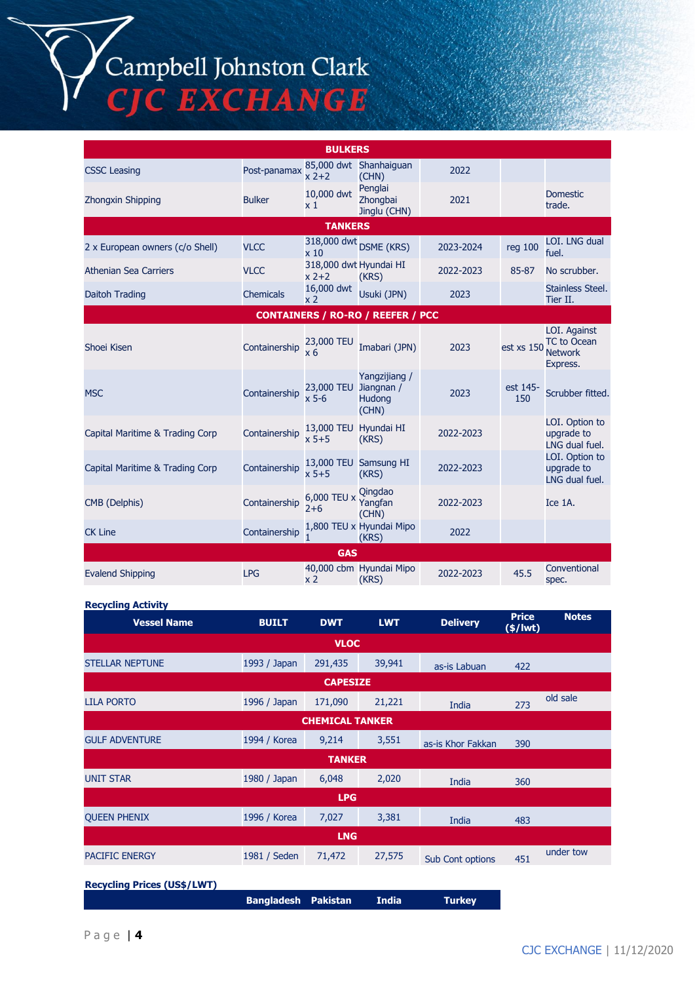# Campbell Johnston Clark<br>CJC EXCHANGE

|                                 |                  | <b>BULKERS</b>                     |                                          |           |                 |                                                                  |
|---------------------------------|------------------|------------------------------------|------------------------------------------|-----------|-----------------|------------------------------------------------------------------|
| <b>CSSC Leasing</b>             | Post-panamax     | $x^2+2$                            | 85,000 dwt Shanhaiguan<br>(CHN)          | 2022      |                 |                                                                  |
| <b>Zhongxin Shipping</b>        | <b>Bulker</b>    | 10,000 dwt<br>$\times 1$           | Penglai<br>Zhonabai<br>Jinglu (CHN)      | 2021      |                 | <b>Domestic</b><br>trade.                                        |
|                                 |                  | <b>TANKERS</b>                     |                                          |           |                 |                                                                  |
| 2 x European owners (c/o Shell) | <b>VLCC</b>      | x <sub>10</sub>                    | 318,000 dwt DSME (KRS)                   | 2023-2024 | reg 100         | LOI. LNG dual<br>fuel.                                           |
| <b>Athenian Sea Carriers</b>    | <b>VLCC</b>      | 318,000 dwt Hyundai HI<br>$x$ 2+2  | (KRS)                                    | 2022-2023 | 85-87           | No scrubber.                                                     |
| Daitoh Trading                  | <b>Chemicals</b> | 16,000 dwt<br>x 2                  | Usuki (JPN)                              | 2023      |                 | Stainless Steel.<br>Tier II.                                     |
|                                 |                  |                                    | <b>CONTAINERS / RO-RO / REEFER / PCC</b> |           |                 |                                                                  |
| Shoei Kisen                     | Containership    | 23,000 TEU<br>$x_6$                | Imabari (JPN)                            | 2023      | est xs 150      | LOI. Against<br><b>TC</b> to Ocean<br><b>Network</b><br>Express. |
| <b>MSC</b>                      | Containership    | 23,000 TEU Jiangnan /<br>$x$ 5-6   | Yangzijiang /<br><b>Hudong</b><br>(CHN)  | 2023      | est 145-<br>150 | Scrubber fitted.                                                 |
| Capital Maritime & Trading Corp | Containership    | 13,000 TEU Hyundai HI<br>$x 5 + 5$ | (KRS)                                    | 2022-2023 |                 | LOI. Option to<br>upgrade to<br>LNG dual fuel.                   |
| Capital Maritime & Trading Corp | Containership    | $x 5+5$                            | 13,000 TEU Samsung HI<br>(KRS)           | 2022-2023 |                 | LOI. Option to<br>upgrade to<br>LNG dual fuel.                   |
| CMB (Delphis)                   | Containership    | 6,000 TEU x<br>$2 + 6$             | <b>Qingdao</b><br>Yangfan<br>(CHN)       | 2022-2023 |                 | Ice 1A.                                                          |
| <b>CK Line</b>                  | Containership    |                                    | 1,800 TEU x Hyundai Mipo<br>(KRS)        | 2022      |                 |                                                                  |
|                                 |                  | <b>GAS</b>                         |                                          |           |                 |                                                                  |
| <b>Evalend Shipping</b>         | <b>LPG</b>       | x <sub>2</sub>                     | 40,000 cbm Hyundai Mipo<br>(KRS)         | 2022-2023 | 45.5            | Conventional<br>spec.                                            |

### **Recycling Activity**

| <b>Vessel Name</b>                 | <b>BUILT</b> | <b>DWT</b>             | <b>LWT</b> | <b>Delivery</b>         | <b>Price</b><br>$($/$ lwt $)$ | <b>Notes</b> |
|------------------------------------|--------------|------------------------|------------|-------------------------|-------------------------------|--------------|
|                                    |              | <b>VLOC</b>            |            |                         |                               |              |
| <b>STELLAR NEPTUNE</b>             | 1993 / Japan | 291,435                | 39,941     | as-is Labuan            | 422                           |              |
|                                    |              | <b>CAPESIZE</b>        |            |                         |                               |              |
| <b>LILA PORTO</b>                  | 1996 / Japan | 171,090                | 21,221     | India                   | 273                           | old sale     |
|                                    |              | <b>CHEMICAL TANKER</b> |            |                         |                               |              |
| <b>GULF ADVENTURE</b>              | 1994 / Korea | 9,214                  | 3,551      | as-is Khor Fakkan       | 390                           |              |
|                                    |              | <b>TANKER</b>          |            |                         |                               |              |
| <b>UNIT STAR</b>                   | 1980 / Japan | 6,048                  | 2,020      | India                   | 360                           |              |
|                                    |              | <b>LPG</b>             |            |                         |                               |              |
| <b>OUEEN PHENIX</b>                | 1996 / Korea | 7,027                  | 3,381      | India                   | 483                           |              |
|                                    |              | <b>LNG</b>             |            |                         |                               |              |
| <b>PACIFIC ENERGY</b>              | 1981 / Seden | 71,472                 | 27,575     | <b>Sub Cont options</b> | 451                           | under tow    |
| <b>Recycling Prices (US\$/LWT)</b> |              |                        |            |                         |                               |              |

**Bangladesh Pakistan India Turkey**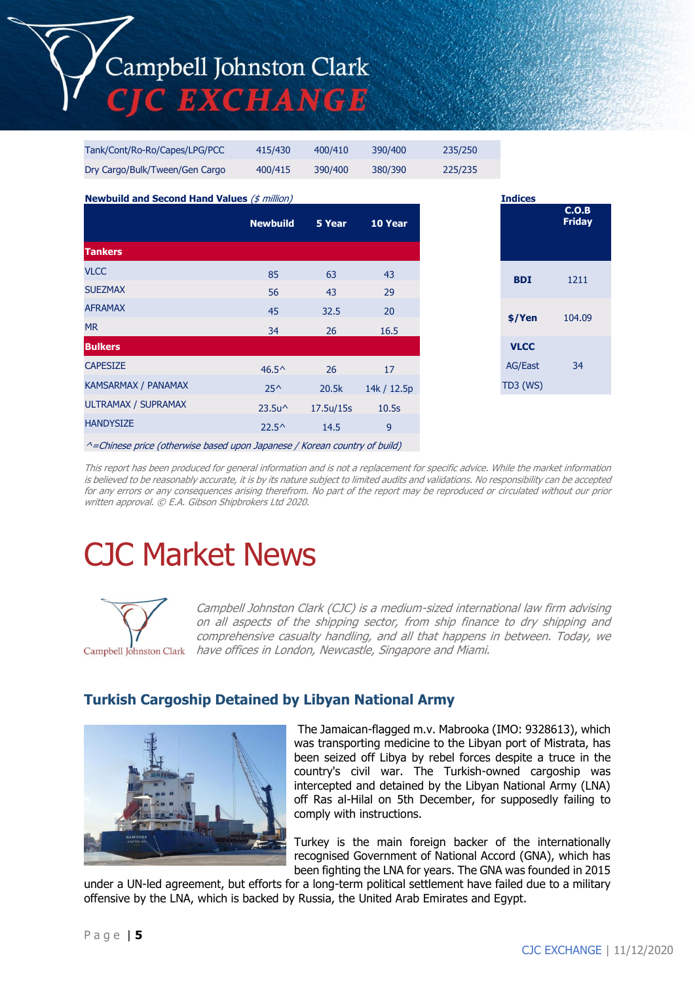# Campbell Johnston Clark **TIC EXCHANGE**

| <b>Newbuild and Second Hand Values (\$ million)</b> |         |         |         |         | <b>Indices</b> |
|-----------------------------------------------------|---------|---------|---------|---------|----------------|
| Dry Cargo/Bulk/Tween/Gen Cargo                      | 400/415 | 390/400 | 380/390 | 225/235 |                |
| Tank/Cont/Ro-Ro/Capes/LPG/PCC                       | 415/430 | 400/410 | 390/400 | 235/250 |                |

|                            | <b>Newbuild</b>  | 5 Year    | 10 Year        |
|----------------------------|------------------|-----------|----------------|
| <b>Tankers</b>             |                  |           |                |
| <b>VLCC</b>                | 85               | 63        | 43             |
| <b>SUEZMAX</b>             | 56               | 43        | 29             |
| <b>AFRAMAX</b>             | 45               | 32.5      | 20             |
| <b>MR</b>                  | 34               | 26        | 16.5           |
| <b>Bulkers</b>             |                  |           |                |
| <b>CAPESIZE</b>            | $46.5^{\circ}$   | 26        | 17             |
| <b>KAMSARMAX / PANAMAX</b> | $25^{\prime}$    | 20.5k     | 14k / 12.5p    |
| ULTRAMAX / SUPRAMAX        | $23.5u^{\wedge}$ | 17.5u/15s | 10.5s          |
| <b>HANDYSIZE</b>           | $22.5^{\circ}$   | 14.5      | $\overline{9}$ |
|                            |                  |           |                |

 $^{\wedge}$ =Chinese price (otherwise based upon Japanese / Korean country of build)

This report has been produced for general information and is not a replacement for specific advice. While the market information is believed to be reasonably accurate, it is by its nature subject to limited audits and validations. No responsibility can be accepted for any errors or any consequences arising therefrom. No part of the report may be reproduced or circulated without our prior written approval. © E.A. Gibson Shipbrokers Ltd 2020.

# CJC Market News



Campbell Johnston Clark (CJC) is a medium-sized international law firm advising on all aspects of the shipping sector, from ship finance to dry shipping and comprehensive casualty handling, and all that happens in between. Today, we Campbell Johnston Clark have offices in London, Newcastle, Singapore and Miami.

## **Turkish Cargoship Detained by Libyan National Army**



The Jamaican-flagged m.v. Mabrooka (IMO: 9328613), which was transporting medicine to the Libyan port of Mistrata, has been seized off Libya by rebel forces despite a truce in the country's civil war. The Turkish-owned cargoship was intercepted and detained by the Libyan National Army (LNA) off Ras al-Hilal on 5th December, for supposedly failing to comply with instructions.

Turkey is the main foreign backer of the internationally recognised Government of National Accord (GNA), which has been fighting the LNA for years. The GNA was founded in 2015

under a UN-led agreement, but efforts for a long-term political settlement have failed due to a military offensive by the LNA, which is backed by Russia, the United Arab Emirates and Egypt.

**C.O.B Friday**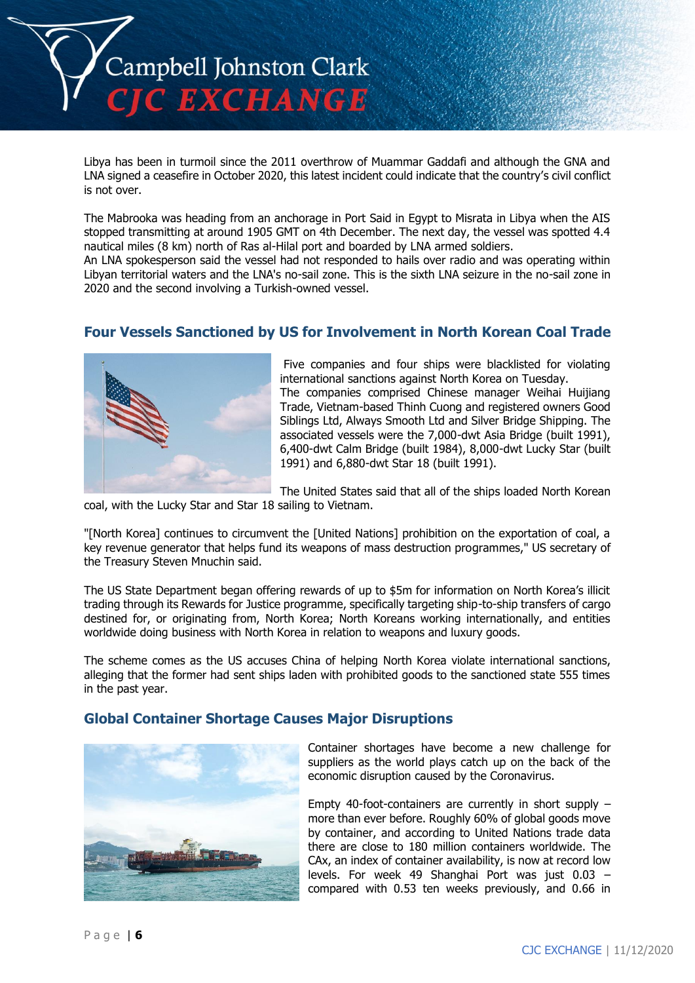

Libya has been in turmoil since the 2011 overthrow of Muammar Gaddafi and although the GNA and LNA signed a ceasefire in October 2020, this latest incident could indicate that the country's civil conflict is not over.

The Mabrooka was heading from an anchorage in Port Said in Egypt to Misrata in Libya when the AIS stopped transmitting at around 1905 GMT on 4th December. The next day, the vessel was spotted 4.4 nautical miles (8 km) north of Ras al-Hilal port and boarded by LNA armed soldiers.

An LNA spokesperson said the vessel had not responded to hails over radio and was operating within Libyan territorial waters and the LNA's no-sail zone. This is the sixth LNA seizure in the no-sail zone in 2020 and the second involving a Turkish-owned vessel.

## **Four Vessels Sanctioned by US for Involvement in North Korean Coal Trade**



Five companies and four ships were blacklisted for violating international sanctions against North Korea on Tuesday. The companies comprised Chinese manager Weihai Huijiang Trade, Vietnam-based Thinh Cuong and registered owners Good Siblings Ltd, Always Smooth Ltd and Silver Bridge Shipping. The associated vessels were the 7,000-dwt Asia Bridge (built 1991), 6,400-dwt Calm Bridge (built 1984), 8,000-dwt Lucky Star (built 1991) and 6,880-dwt Star 18 (built 1991).

The United States said that all of the ships loaded North Korean coal, with the Lucky Star and Star 18 sailing to Vietnam.

"[North Korea] continues to circumvent the [United Nations] prohibition on the exportation of coal, a key revenue generator that helps fund its weapons of mass destruction programmes," US secretary of the Treasury Steven Mnuchin said.

The US State Department began offering rewards of up to \$5m for information on North Korea's illicit trading through its Rewards for Justice programme, specifically targeting ship-to-ship transfers of cargo destined for, or originating from, North Korea; North Koreans working internationally, and entities worldwide doing business with North Korea in relation to weapons and luxury goods.

The scheme comes as the US accuses China of helping North Korea violate international sanctions, alleging that the former had sent ships laden with prohibited goods to the sanctioned state 555 times in the past year.

### **Global Container Shortage Causes Major Disruptions**



Container shortages have become a new challenge for suppliers as the world plays catch up on the back of the economic disruption caused by the Coronavirus.

Empty 40-foot-containers are currently in short supply – more than ever before. Roughly 60% of global goods move by container, and according to United Nations trade data there are close to 180 million containers worldwide. The CAx, an index of container availability, is now at record low levels. For week 49 Shanghai Port was just 0.03 – compared with 0.53 ten weeks previously, and 0.66 in